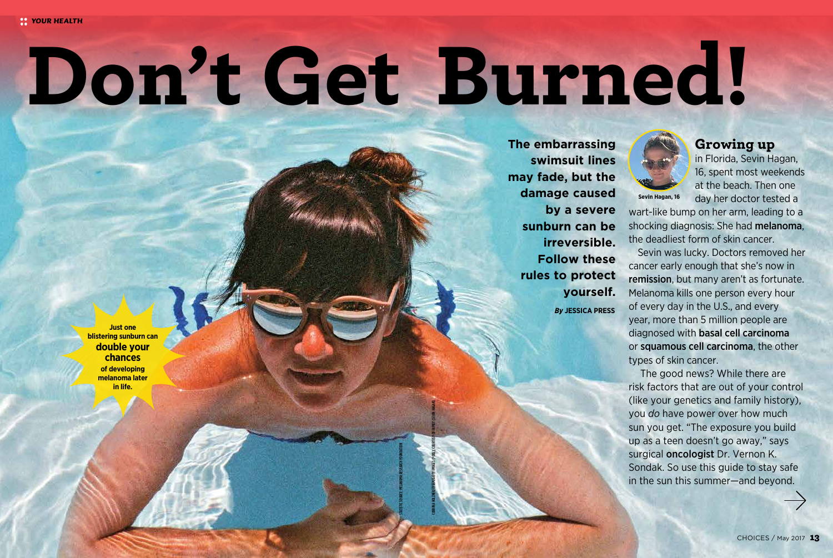# Don't Get Burned!

STATISTIC SOURCE: MELANOMA RESEARCH FOUNDATION

CORRINA HOLZNER/EYEEM/GETTY IMAGES (POOL); COURTESY OF FAMILY (SEVIN HAGAN)

**Just one blistering sunburn can double your chances of developing melanoma later in life.**

*By* **JESSICA PRESS The embarrassing swimsuit lines may fade, but the damage caused by a severe sunburn can be irreversible. Follow these rules to protect yourself.**



**Sevin Hagan, 16**

## Growing up

in Florida, Sevin Hagan, 16, spent most weekends at the beach. Then one day her doctor tested a

wart-like bump on her arm, leading to a shocking diagnosis: She had melanoma, the deadliest form of skin cancer.

Sevin was lucky. Doctors removed her cancer early enough that she's now in remission, but many aren't as fortunate. Melanoma kills one person every hour of every day in the U.S., and every year, more than 5 million people are diagnosed with basal cell carcinoma or squamous cell carcinoma, the other types of skin cancer.

 The good news? While there are risk factors that are out of your control (like your genetics and family history), you *do* have power over how much sun you get. "The exposure you build up as a teen doesn't go away," says surgical oncologist Dr. Vernon K. Sondak. So use this guide to stay safe in the sun this summer—and beyond.

CHOICES / May 2017 13